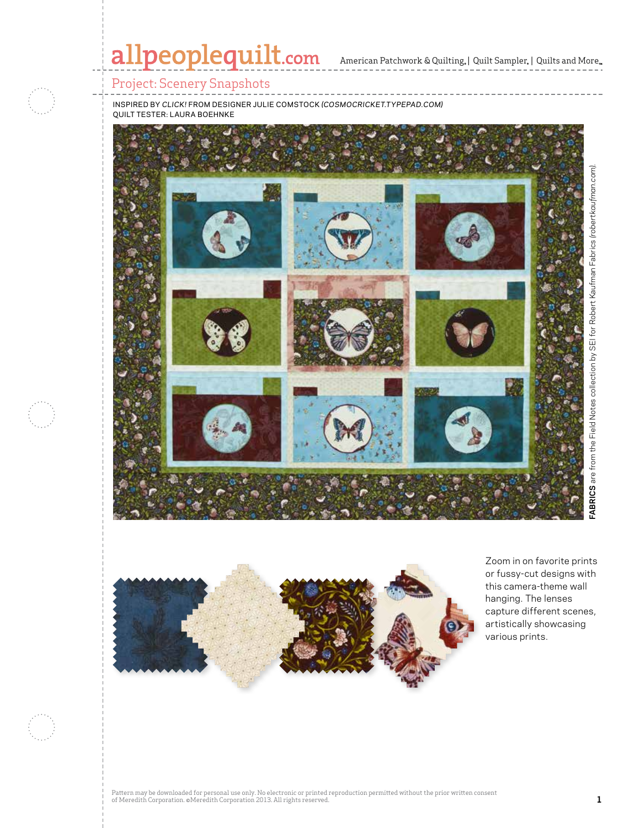## allpeoplequilt.com American Patchwork & Quilting. | Quilt Sampler. | Quilts and More..

### Project: Scenery Snapshots

inspired by *click!* from designer julie comstock *(cosmocricket.typepad.com)* quilt tester: laura boehnke





Zoom in on favorite prints or fussy-cut designs with this camera-theme wall hanging. The lenses capture different scenes, artistically showcasing various prints.

**FABRICS** are from the Field Notes collection by SEI for Robert Kaufman Fabrics *(robertkaufman.com).*

Pattern may be downloaded for personal use only. No electronic or printed reproduction permitted without the prior written consent of Meredith Corporation. ©Meredith Corporation 2013. All rights reserved. **1**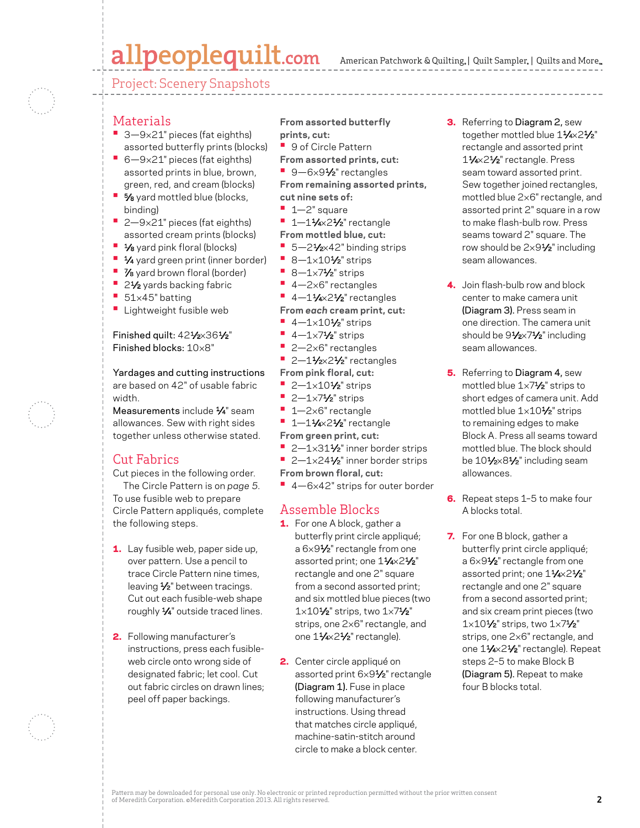## allpeoplequilt.com

American Patchwork & Quilting,  $|$  Quilt Sampler,  $|$  Quilts and More,

Project: Scenery Snapshots

#### **Materials**

- **•** 3—9×21" pieces (fat eighths) assorted butterfly prints (blocks)
- **•** 6—9×21" pieces (fat eighths) assorted prints in blue, brown, green, red, and cream (blocks)
- **•** 5⁄8 yard mottled blue (blocks, binding)
- **•** 2—9×21" pieces (fat eighths) assorted cream prints (blocks)
- **•** 1⁄8 yard pink floral (blocks)
- **•** 1⁄4 yard green print (inner border)
- **•** 7⁄8 yard brown floral (border)
- 2<sup>1</sup>⁄<sub>2</sub> yards backing fabric
- **•** <sup>51</sup>×45" batting
- **•** Lightweight fusible web

#### Finished quilt: 421/2×361/2" Finished blocks: 10×8"

Yardages and cutting instructions are based on 42" of usable fabric width.

Measurements include  $\frac{1}{4}$ " seam allowances. Sew with right sides together unless otherwise stated.

#### Cut Fabrics

Cut pieces in the following order. The Circle Pattern is on *page 5.* To use fusible web to prepare Circle Pattern appliqués, complete the following steps.

- **1.** Lay fusible web, paper side up, over pattern. Use a pencil to trace Circle Pattern nine times, leaving 1/2" between tracings. Cut out each fusible-web shape roughly 1⁄4" outside traced lines.
- 2. Following manufacturer's instructions, press each fusibleweb circle onto wrong side of designated fabric; let cool. Cut out fabric circles on drawn lines; peel off paper backings.

#### **From assorted butterfly prints, cut:**

- **•** 9 of Circle Pattern
- **From assorted prints, cut:**
- 9-6×91⁄2" rectangles

**From remaining assorted prints, cut nine sets of:**

- **•** 1—2" square
- **•** 1-11/4×21/<sub>2</sub>" rectangle
- **From mottled blue, cut:**
- 5-21⁄2×42" binding strips
- **•** 8—1×101⁄2" strips
- **•** 8—1×71⁄2" strips
- **•** 4—2×6" rectangles
- **•** 4-11/4×21/<sub>2</sub>" rectangles
- **From** *each* **cream print, cut:**
- **•** 4—1×101⁄2" strips
- **•** 4—1×71⁄2" strips
- **•** 2—2×6" rectangles
- 
- **•** 2-11/2×21/2" rectangles
- **From pink floral, cut:**
- **•** 2—1×101⁄2" strips
- **•** 2—1×71⁄2" strips
- **•** 1—2×6" rectangle
- **•** 1-11/4×21/<sub>2</sub>" rectangle
- **From green print, cut:**
- 2-1×31<sup>1</sup>/<sub>2</sub>" inner border strips
- 2-1×24<sup>1</sup>/<sub>2</sub>" inner border strips
- **From brown floral, cut:**
- **•** 4—6×42" strips for outer border

#### Assemble Blocks

- 1. For one A block, gather a butterfly print circle appliqué; a 6×91⁄2" rectangle from one assorted print; one 11/4×21/2" rectangle and one 2" square from a second assorted print; and six mottled blue pieces (two  $1 \times 10^{1/2}$ " strips, two  $1 \times 7^{1/2}$ " strips, one 2×6" rectangle, and one 11⁄4×21⁄2" rectangle).
- 2. Center circle appliqué on assorted print 6×91⁄2" rectangle (Diagram 1). Fuse in place following manufacturer's instructions. Using thread that matches circle appliqué, machine-satin-stitch around circle to make a block center.
- **3.** Referring to Diagram 2, sew together mottled blue 11/4×21/2" rectangle and assorted print 11⁄4×21⁄2" rectangle. Press seam toward assorted print. Sew together joined rectangles, mottled blue 2×6" rectangle, and assorted print 2" square in a row to make flash-bulb row. Press seams toward 2" square. The row should be 2×91⁄2" including seam allowances.
- 4. Join flash-bulb row and block center to make camera unit (Diagram 3). Press seam in one direction. The camera unit should be 91/2×71/2" including seam allowances.
- **5.** Referring to Diagram 4, sew mottled blue 1×71⁄2" strips to short edges of camera unit. Add mottled blue 1×101⁄2" strips to remaining edges to make Block A. Press all seams toward mottled blue. The block should be 101/2×81/2" including seam allowances.
- 6. Repeat steps 1-5 to make four A blocks total.
- 7. For one B block, gather a butterfly print circle appliqué; a 6×91⁄2" rectangle from one assorted print; one 11⁄4×21⁄2" rectangle and one 2" square from a second assorted print; and six cream print pieces (two  $1\times10^{1/2}$ " strips, two  $1\times7^{1/2}$ " strips, one 2×6" rectangle, and one 11/4×21/2" rectangle). Repeat steps 2–5 to make Block B (Diagram 5). Repeat to make four B blocks total.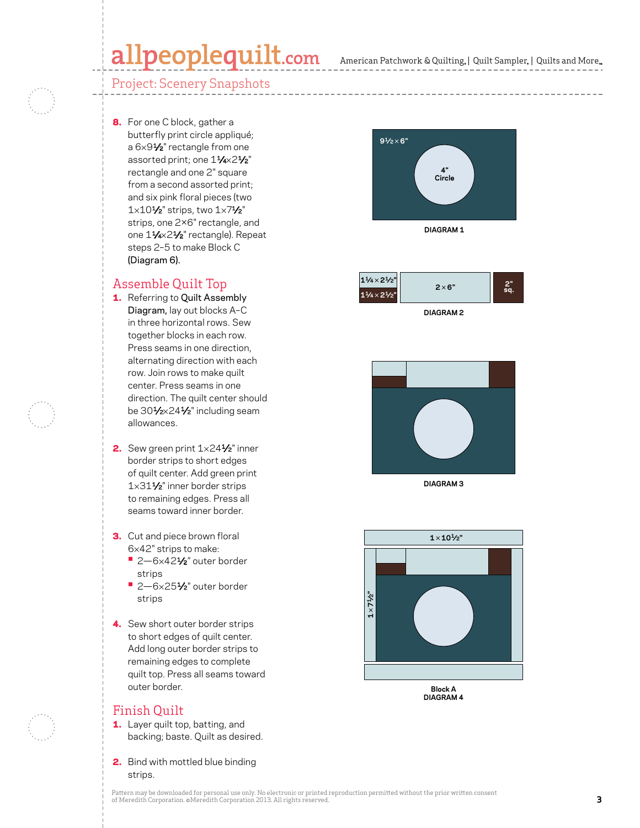## allpeoplequilt.com

### Project: Scenery Snapshots

8. For one C block, gather a butterfly print circle appliqué; a 6 × 9 1⁄2" rectangle from one assorted print; one 11⁄4×21⁄2" rectangle and one 2" square from a second assorted print; and six pink floral pieces (two  $1\times10\frac{1}{2}$ " strips, two  $1\times7\frac{1}{2}$ " strips, one 2×6" rectangle, and one 1¼×2½" rectangle). Repeat steps 2–5 to make Block C (Diagram 6).

#### Assemble Quilt Top

- **1.** Referring to Quilt Assembly Diagram, lay out blocks A–C in three horizontal rows. Sew together blocks in each row. Press seams in one direction, alternating direction with each row. Join rows to make quilt center. Press seams in one direction. The quilt center should be 30**½**×24**½**" including seam allowances.
- 2. Sew green print 1×241⁄2" inner border strips to short edges of quilt center. Add green print 1×311⁄2" inner border strips to remaining edges. Press all seams toward inner border.
- 3. Cut and piece brown floral 6×42" strips to make: **•** 2—6×421⁄2" outer border
	- strips
	- 2-6×251/<sub>2</sub>" outer border strips
- 4. Sew short outer border strips to short edges of quilt center. Add long outer border strips to remaining edges to complete quilt top. Press all seams toward outer border.

#### Finish Quilt

- 1. Layer quilt top, batting, and backing; baste. Quilt as desired.
- 2. Bind with mottled blue binding strips.





**DIAGRAM 2**



**DIAGRAM 3**



**Block A DIAGRAM 4**

Pattern may be downloaded for personal use only. No electronic or printed reproduction permitted without the prior written consent of Meredith Corporation. ©Meredith Corporation 2013. All rights reserved.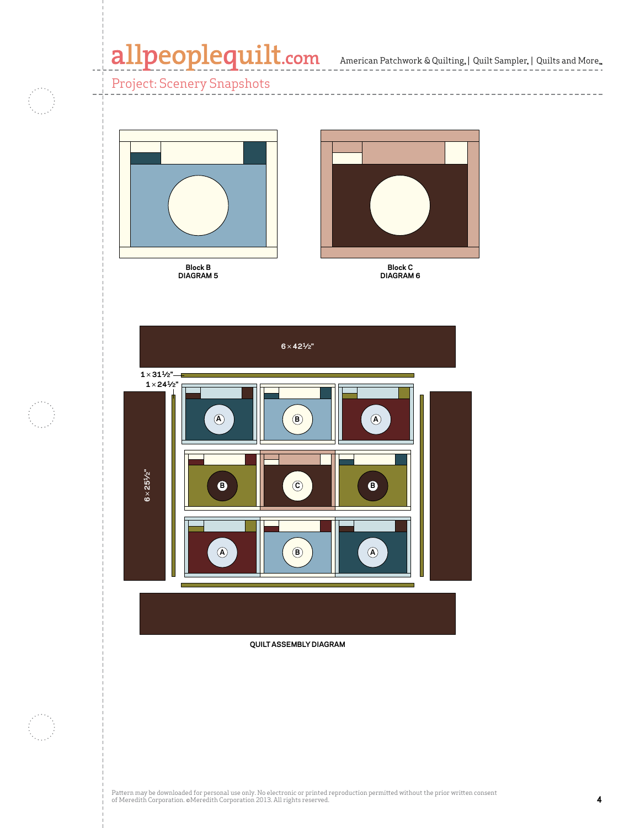American Patchwork & Quilting, | Quilt Sampler, | Quilts and More

--------------------

Project: Scenery Snapshots





**Block C DIAGRAM 6**



**QUILT ASSEMBLY DIAGRAM**